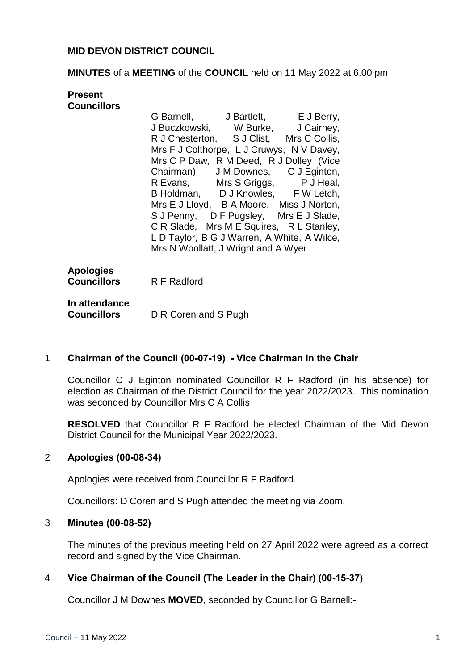## **MID DEVON DISTRICT COUNCIL**

### **MINUTES** of a **MEETING** of the **COUNCIL** held on 11 May 2022 at 6.00 pm

| Present                                            |                                                                                                                                                                                                                                                                                                                                                                                                                                                                                                                                                     |
|----------------------------------------------------|-----------------------------------------------------------------------------------------------------------------------------------------------------------------------------------------------------------------------------------------------------------------------------------------------------------------------------------------------------------------------------------------------------------------------------------------------------------------------------------------------------------------------------------------------------|
| <b>Councillors</b>                                 | G Barnell, J Bartlett, E J Berry,<br>J Buczkowski, W Burke, J Cairney,<br>R J Chesterton, S J Clist, Mrs C Collis,<br>Mrs F J Colthorpe, L J Cruwys, N V Davey,<br>Mrs C P Daw, R M Deed, R J Dolley (Vice<br>Chairman), J M Downes, C J Eginton,<br>R Evans, Mrs S Griggs, P J Heal,<br>B Holdman, D J Knowles, F W Letch,<br>Mrs E J Lloyd, B A Moore, Miss J Norton,<br>S J Penny, D F Pugsley, Mrs E J Slade,<br>C R Slade, Mrs M E Squires, R L Stanley,<br>L D Taylor, B G J Warren, A White, A Wilce,<br>Mrs N Woollatt, J Wright and A Wyer |
| <b>Apologies</b><br><b>Councillors</b> R F Radford |                                                                                                                                                                                                                                                                                                                                                                                                                                                                                                                                                     |
| In attendance<br>Councillors                       | D R Coren and S Pugh                                                                                                                                                                                                                                                                                                                                                                                                                                                                                                                                |

## 1 **Chairman of the Council (00-07-19) - Vice Chairman in the Chair**

Councillor C J Eginton nominated Councillor R F Radford (in his absence) for election as Chairman of the District Council for the year 2022/2023. This nomination was seconded by Councillor Mrs C A Collis

**RESOLVED** that Councillor R F Radford be elected Chairman of the Mid Devon District Council for the Municipal Year 2022/2023.

## 2 **Apologies (00-08-34)**

Apologies were received from Councillor R F Radford.

Councillors: D Coren and S Pugh attended the meeting via Zoom.

#### 3 **Minutes (00-08-52)**

The minutes of the previous meeting held on 27 April 2022 were agreed as a correct record and signed by the Vice Chairman.

#### 4 **Vice Chairman of the Council (The Leader in the Chair) (00-15-37)**

Councillor J M Downes **MOVED**, seconded by Councillor G Barnell:-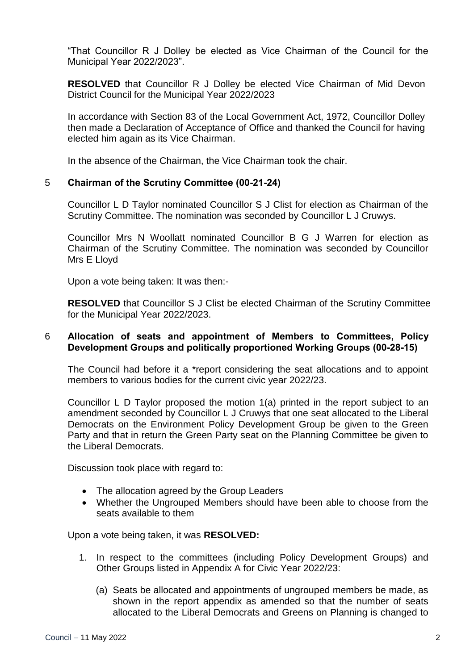"That Councillor R J Dolley be elected as Vice Chairman of the Council for the Municipal Year 2022/2023".

**RESOLVED** that Councillor R J Dolley be elected Vice Chairman of Mid Devon District Council for the Municipal Year 2022/2023

In accordance with Section 83 of the Local Government Act, 1972, Councillor Dolley then made a Declaration of Acceptance of Office and thanked the Council for having elected him again as its Vice Chairman.

In the absence of the Chairman, the Vice Chairman took the chair.

## 5 **Chairman of the Scrutiny Committee (00-21-24)**

Councillor L D Taylor nominated Councillor S J Clist for election as Chairman of the Scrutiny Committee. The nomination was seconded by Councillor L J Cruwys.

Councillor Mrs N Woollatt nominated Councillor B G J Warren for election as Chairman of the Scrutiny Committee. The nomination was seconded by Councillor Mrs E Lloyd

Upon a vote being taken: It was then:-

**RESOLVED** that Councillor S J Clist be elected Chairman of the Scrutiny Committee for the Municipal Year 2022/2023.

### 6 **Allocation of seats and appointment of Members to Committees, Policy Development Groups and politically proportioned Working Groups (00-28-15)**

The Council had before it a \*report considering the seat allocations and to appoint members to various bodies for the current civic year 2022/23.

Councillor L D Taylor proposed the motion 1(a) printed in the report subject to an amendment seconded by Councillor L J Cruwys that one seat allocated to the Liberal Democrats on the Environment Policy Development Group be given to the Green Party and that in return the Green Party seat on the Planning Committee be given to the Liberal Democrats.

Discussion took place with regard to:

- The allocation agreed by the Group Leaders
- Whether the Ungrouped Members should have been able to choose from the seats available to them

Upon a vote being taken, it was **RESOLVED:**

- 1. In respect to the committees (including Policy Development Groups) and Other Groups listed in Appendix A for Civic Year 2022/23:
	- (a) Seats be allocated and appointments of ungrouped members be made, as shown in the report appendix as amended so that the number of seats allocated to the Liberal Democrats and Greens on Planning is changed to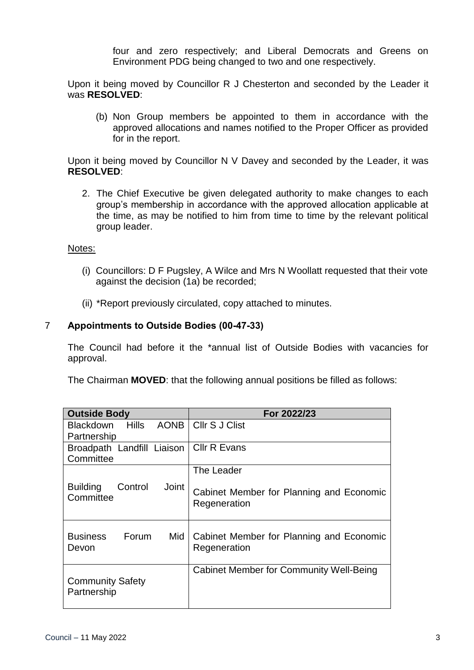four and zero respectively; and Liberal Democrats and Greens on Environment PDG being changed to two and one respectively.

Upon it being moved by Councillor R J Chesterton and seconded by the Leader it was **RESOLVED**:

(b) Non Group members be appointed to them in accordance with the approved allocations and names notified to the Proper Officer as provided for in the report.

Upon it being moved by Councillor N V Davey and seconded by the Leader, it was **RESOLVED**:

2. The Chief Executive be given delegated authority to make changes to each group's membership in accordance with the approved allocation applicable at the time, as may be notified to him from time to time by the relevant political group leader.

## Notes:

- (i) Councillors: D F Pugsley, A Wilce and Mrs N Woollatt requested that their vote against the decision (1a) be recorded;
- (ii) \*Report previously circulated, copy attached to minutes.

### 7 **Appointments to Outside Bodies (00-47-33)**

The Council had before it the \*annual list of Outside Bodies with vacancies for approval.

The Chairman **MOVED**: that the following annual positions be filled as follows:

| <b>Outside Body</b>                              | For 2022/23                                              |
|--------------------------------------------------|----------------------------------------------------------|
| AONB  <br>Hills<br>Blackdown                     | <b>CIIr S J Clist</b>                                    |
| Partnership                                      |                                                          |
| Broadpath Landfill Liaison                       | <b>Cllr R Evans</b>                                      |
| Committee                                        |                                                          |
|                                                  | The Leader                                               |
| Joint<br><b>Building</b><br>Control<br>Committee | Cabinet Member for Planning and Economic<br>Regeneration |
| Forum<br><b>Business</b><br>Mid<br>Devon         | Cabinet Member for Planning and Economic<br>Regeneration |
| <b>Community Safety</b><br>Partnership           | <b>Cabinet Member for Community Well-Being</b>           |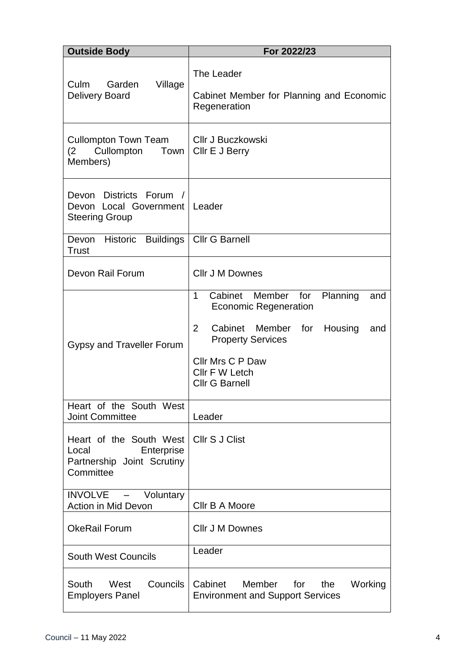| <b>Outside Body</b>                                                                       | For 2022/23                                                                                                                                                                                                                            |
|-------------------------------------------------------------------------------------------|----------------------------------------------------------------------------------------------------------------------------------------------------------------------------------------------------------------------------------------|
| Garden<br>Village<br>Culm<br><b>Delivery Board</b>                                        | The Leader<br>Cabinet Member for Planning and Economic<br>Regeneration                                                                                                                                                                 |
| <b>Cullompton Town Team</b><br>(2)<br>Cullompton<br><b>Town</b><br>Members)               | <b>CIIr J Buczkowski</b><br>Cllr E J Berry                                                                                                                                                                                             |
| Devon Districts Forum /<br>Devon Local Government   Leader<br><b>Steering Group</b>       |                                                                                                                                                                                                                                        |
| Devon Historic Buildings<br><b>Trust</b>                                                  | <b>Cllr G Barnell</b>                                                                                                                                                                                                                  |
| Devon Rail Forum                                                                          | <b>CIIr J M Downes</b>                                                                                                                                                                                                                 |
| Gypsy and Traveller Forum                                                                 | Cabinet Member for<br>1<br>Planning<br>and<br><b>Economic Regeneration</b><br>$\overline{2}$<br>Cabinet Member for<br>Housing<br>and<br><b>Property Services</b><br><b>Cllr Mrs C P Daw</b><br>Cllr F W Letch<br><b>Cllr G Barnell</b> |
| Heart of the South West<br><b>Joint Committee</b>                                         | Leader                                                                                                                                                                                                                                 |
| Heart of the South West<br>Enterprise<br>Local<br>Partnership Joint Scrutiny<br>Committee | Cllr S J Clist                                                                                                                                                                                                                         |
| INVOLVE - Voluntary<br>Action in Mid Devon                                                | Cllr B A Moore                                                                                                                                                                                                                         |
| <b>OkeRail Forum</b>                                                                      | <b>CIIr J M Downes</b>                                                                                                                                                                                                                 |
| <b>South West Councils</b>                                                                | Leader                                                                                                                                                                                                                                 |
| Councils<br>South<br>West<br><b>Employers Panel</b>                                       | Cabinet<br>Member<br>for<br>the<br>Working<br><b>Environment and Support Services</b>                                                                                                                                                  |